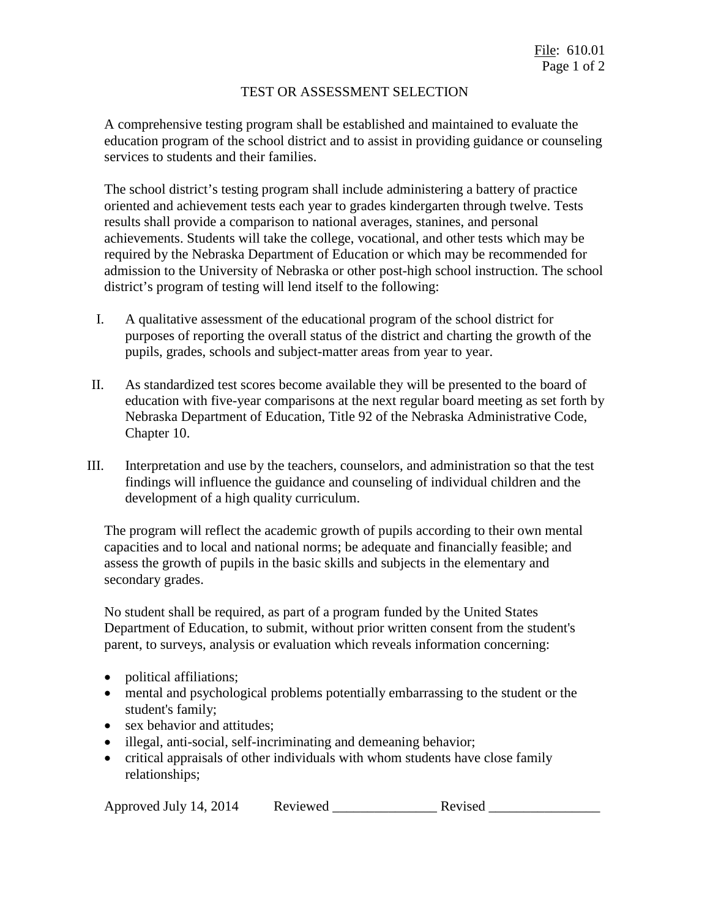## TEST OR ASSESSMENT SELECTION

A comprehensive testing program shall be established and maintained to evaluate the education program of the school district and to assist in providing guidance or counseling services to students and their families.

The school district's testing program shall include administering a battery of practice oriented and achievement tests each year to grades kindergarten through twelve. Tests results shall provide a comparison to national averages, stanines, and personal achievements. Students will take the college, vocational, and other tests which may be required by the Nebraska Department of Education or which may be recommended for admission to the University of Nebraska or other post-high school instruction. The school district's program of testing will lend itself to the following:

- I. A qualitative assessment of the educational program of the school district for purposes of reporting the overall status of the district and charting the growth of the pupils, grades, schools and subject-matter areas from year to year.
- II. As standardized test scores become available they will be presented to the board of education with five-year comparisons at the next regular board meeting as set forth by Nebraska Department of Education, Title 92 of the Nebraska Administrative Code, Chapter 10.
- III. Interpretation and use by the teachers, counselors, and administration so that the test findings will influence the guidance and counseling of individual children and the development of a high quality curriculum.

The program will reflect the academic growth of pupils according to their own mental capacities and to local and national norms; be adequate and financially feasible; and assess the growth of pupils in the basic skills and subjects in the elementary and secondary grades.

No student shall be required, as part of a program funded by the United States Department of Education, to submit, without prior written consent from the student's parent, to surveys, analysis or evaluation which reveals information concerning:

- political affiliations;
- mental and psychological problems potentially embarrassing to the student or the student's family;
- sex behavior and attitudes;
- illegal, anti-social, self-incriminating and demeaning behavior;
- critical appraisals of other individuals with whom students have close family relationships;